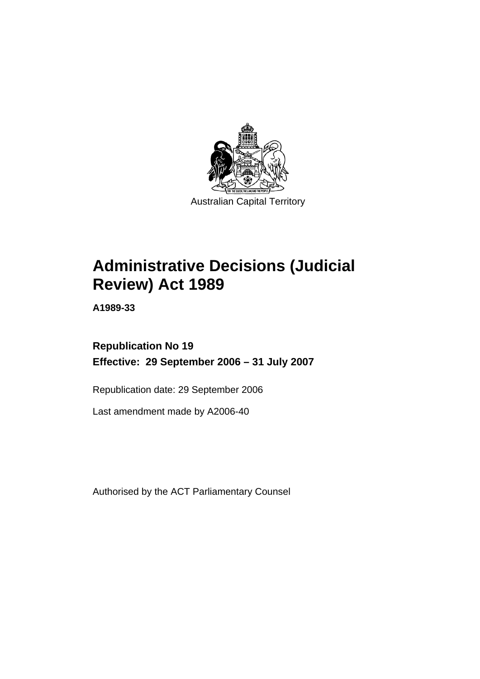

# **Administrative Decisions (Judicial Review) Act 1989**

**A1989-33** 

## **Republication No 19 Effective: 29 September 2006 – 31 July 2007**

Republication date: 29 September 2006

Last amendment made by A2006-40

Authorised by the ACT Parliamentary Counsel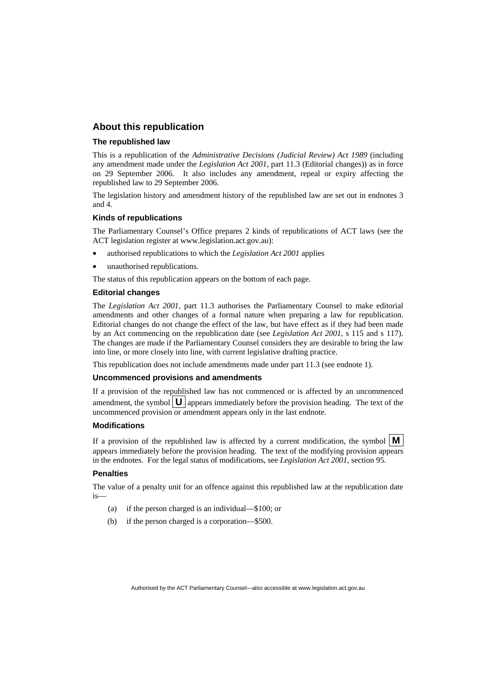## **About this republication**

#### **The republished law**

This is a republication of the *Administrative Decisions (Judicial Review) Act 1989* (including any amendment made under the *Legislation Act 2001*, part 11.3 (Editorial changes)) as in force on 29 September 2006*.* It also includes any amendment, repeal or expiry affecting the republished law to 29 September 2006.

The legislation history and amendment history of the republished law are set out in endnotes 3 and 4.

#### **Kinds of republications**

The Parliamentary Counsel's Office prepares 2 kinds of republications of ACT laws (see the ACT legislation register at www.legislation.act.gov.au):

- authorised republications to which the *Legislation Act 2001* applies
- unauthorised republications.

The status of this republication appears on the bottom of each page.

#### **Editorial changes**

The *Legislation Act 2001*, part 11.3 authorises the Parliamentary Counsel to make editorial amendments and other changes of a formal nature when preparing a law for republication. Editorial changes do not change the effect of the law, but have effect as if they had been made by an Act commencing on the republication date (see *Legislation Act 2001*, s 115 and s 117). The changes are made if the Parliamentary Counsel considers they are desirable to bring the law into line, or more closely into line, with current legislative drafting practice.

This republication does not include amendments made under part 11.3 (see endnote 1).

#### **Uncommenced provisions and amendments**

If a provision of the republished law has not commenced or is affected by an uncommenced amendment, the symbol  $\mathbf{U}$  appears immediately before the provision heading. The text of the uncommenced provision or amendment appears only in the last endnote.

#### **Modifications**

If a provision of the republished law is affected by a current modification, the symbol  $\mathbf{M}$ appears immediately before the provision heading. The text of the modifying provision appears in the endnotes. For the legal status of modifications, see *Legislation Act 2001*, section 95.

#### **Penalties**

The value of a penalty unit for an offence against this republished law at the republication date is—

- (a) if the person charged is an individual—\$100; or
- (b) if the person charged is a corporation—\$500.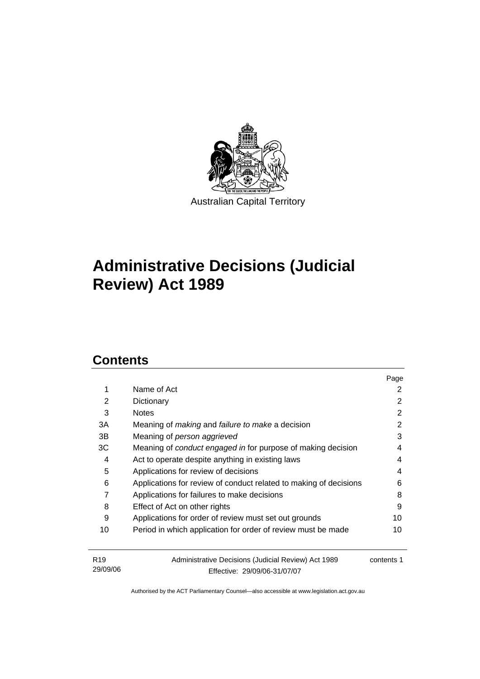

## **Administrative Decisions (Judicial Review) Act 1989**

## **Contents**

29/09/06

|                 |                                                                     | Page       |
|-----------------|---------------------------------------------------------------------|------------|
| 1               | Name of Act                                                         | 2          |
| 2               | Dictionary                                                          | 2          |
| 3               | <b>Notes</b>                                                        | 2          |
| 3A              | Meaning of <i>making</i> and <i>failure to make</i> a decision      | 2          |
| 3B              | Meaning of person aggrieved                                         | 3          |
| ЗC              | Meaning of <i>conduct engaged in</i> for purpose of making decision | 4          |
| 4               | Act to operate despite anything in existing laws                    | 4          |
| 5               | Applications for review of decisions                                | 4          |
| 6               | Applications for review of conduct related to making of decisions   | 6          |
| 7               | Applications for failures to make decisions                         | 8          |
| 8               | Effect of Act on other rights                                       | 9          |
| 9               | Applications for order of review must set out grounds               | 10         |
| 10              | Period in which application for order of review must be made        | 10         |
| R <sub>19</sub> | Administrative Decisions (Judicial Review) Act 1989                 | contents 1 |

Authorised by the ACT Parliamentary Counsel—also accessible at www.legislation.act.gov.au

Effective: 29/09/06-31/07/07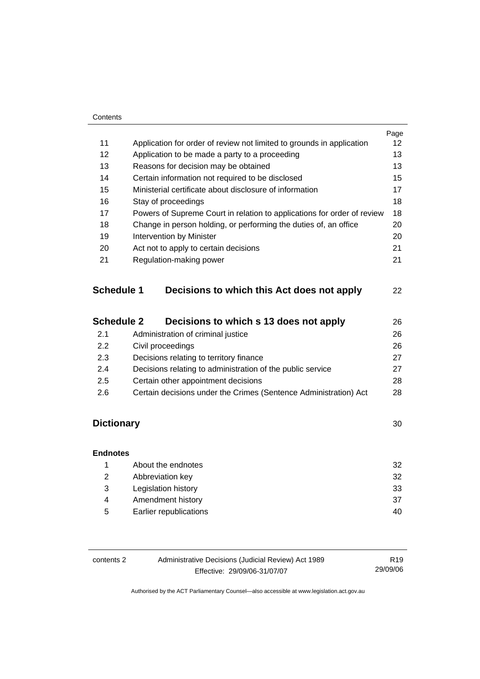## Contents

|                   |                                                                         | Page |  |
|-------------------|-------------------------------------------------------------------------|------|--|
| 11                | Application for order of review not limited to grounds in application   | 12   |  |
| 12                | Application to be made a party to a proceeding                          | 13   |  |
| 13                | Reasons for decision may be obtained                                    | 13   |  |
| 14                | Certain information not required to be disclosed                        | 15   |  |
| 15                | Ministerial certificate about disclosure of information                 | 17   |  |
| 16                | Stay of proceedings                                                     | 18   |  |
| 17                | Powers of Supreme Court in relation to applications for order of review | 18   |  |
| 18                | Change in person holding, or performing the duties of, an office<br>20  |      |  |
| 19                | Intervention by Minister                                                |      |  |
| 20                | Act not to apply to certain decisions                                   |      |  |
| 21                | Regulation-making power                                                 | 21   |  |
| <b>Schedule 1</b> | Decisions to which this Act does not apply                              | 22   |  |
| <b>Schedule 2</b> | Decisions to which s 13 does not apply                                  | 26   |  |

| Administration of criminal justice<br>2.1                               |    |
|-------------------------------------------------------------------------|----|
| Civil proceedings<br>2.2                                                | 26 |
| Decisions relating to territory finance<br>2.3                          | 27 |
| Decisions relating to administration of the public service<br>2.4       | 27 |
| Certain other appointment decisions<br>2.5                              | 28 |
| Certain decisions under the Crimes (Sentence Administration) Act<br>2.6 | 28 |

## **Dictionary** 30

| <b>Endnotes</b> |                        |    |
|-----------------|------------------------|----|
|                 | About the endnotes     | 32 |
| 2               | Abbreviation key       | 32 |
| 3               | Legislation history    | 33 |
| 4               | Amendment history      | 37 |
| 5               | Earlier republications | 40 |

| contents 2 | Administrative Decisions (Judicial Review) Act 1989 | R <sub>19</sub> |
|------------|-----------------------------------------------------|-----------------|
|            | Effective: 29/09/06-31/07/07                        | 29/09/06        |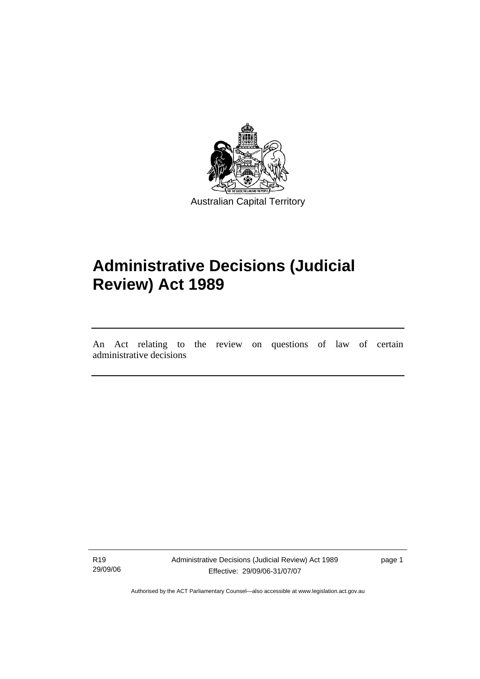

## **Administrative Decisions (Judicial Review) Act 1989**

An Act relating to the review on questions of law of certain administrative decisions

R19 29/09/06

l

Administrative Decisions (Judicial Review) Act 1989 Effective: 29/09/06-31/07/07

page 1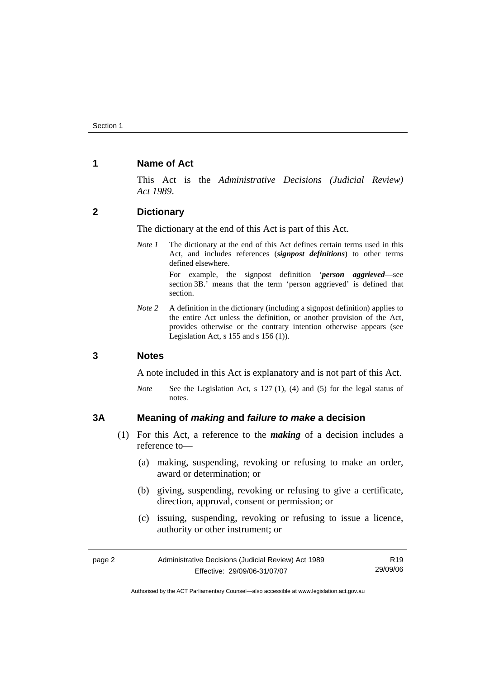## **1 Name of Act**

This Act is the *Administrative Decisions (Judicial Review) Act 1989*.

## **2 Dictionary**

The dictionary at the end of this Act is part of this Act.

*Note 1* The dictionary at the end of this Act defines certain terms used in this Act, and includes references (*signpost definitions*) to other terms defined elsewhere.

> For example, the signpost definition '*person aggrieved*—see section 3B.' means that the term 'person aggrieved' is defined that section.

*Note 2* A definition in the dictionary (including a signpost definition) applies to the entire Act unless the definition, or another provision of the Act, provides otherwise or the contrary intention otherwise appears (see Legislation Act,  $s$  155 and  $s$  156 (1)).

## **3 Notes**

A note included in this Act is explanatory and is not part of this Act.

*Note* See the Legislation Act, s 127 (1), (4) and (5) for the legal status of notes.

## **3A Meaning of** *making* **and** *failure to make* **a decision**

- (1) For this Act, a reference to the *making* of a decision includes a reference to—
	- (a) making, suspending, revoking or refusing to make an order, award or determination; or
	- (b) giving, suspending, revoking or refusing to give a certificate, direction, approval, consent or permission; or
	- (c) issuing, suspending, revoking or refusing to issue a licence, authority or other instrument; or

| page 2 | Administrative Decisions (Judicial Review) Act 1989 | R19      |
|--------|-----------------------------------------------------|----------|
|        | Effective: 29/09/06-31/07/07                        | 29/09/06 |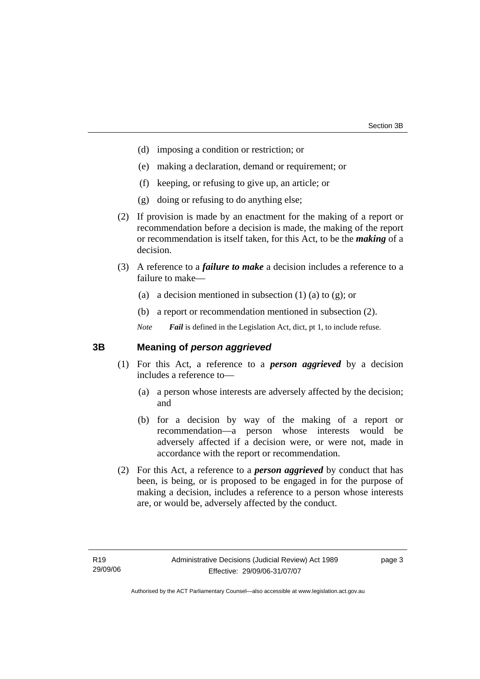- (d) imposing a condition or restriction; or
- (e) making a declaration, demand or requirement; or
- (f) keeping, or refusing to give up, an article; or
- (g) doing or refusing to do anything else;
- (2) If provision is made by an enactment for the making of a report or recommendation before a decision is made, the making of the report or recommendation is itself taken, for this Act, to be the *making* of a decision.
- (3) A reference to a *failure to make* a decision includes a reference to a failure to make—
	- (a) a decision mentioned in subsection  $(1)$  (a) to  $(g)$ ; or
	- (b) a report or recommendation mentioned in subsection (2).

*Note Fail* is defined in the Legislation Act, dict, pt 1, to include refuse.

## **3B Meaning of** *person aggrieved*

- (1) For this Act, a reference to a *person aggrieved* by a decision includes a reference to—
	- (a) a person whose interests are adversely affected by the decision; and
	- (b) for a decision by way of the making of a report or recommendation—a person whose interests would be adversely affected if a decision were, or were not, made in accordance with the report or recommendation.
- (2) For this Act, a reference to a *person aggrieved* by conduct that has been, is being, or is proposed to be engaged in for the purpose of making a decision, includes a reference to a person whose interests are, or would be, adversely affected by the conduct.

page 3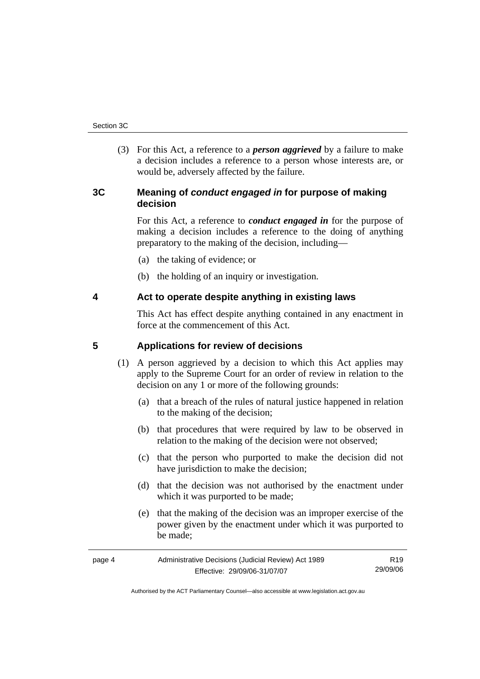(3) For this Act, a reference to a *person aggrieved* by a failure to make a decision includes a reference to a person whose interests are, or would be, adversely affected by the failure.

## **3C Meaning of** *conduct engaged in* **for purpose of making decision**

For this Act, a reference to *conduct engaged in* for the purpose of making a decision includes a reference to the doing of anything preparatory to the making of the decision, including—

- (a) the taking of evidence; or
- (b) the holding of an inquiry or investigation.

## **4 Act to operate despite anything in existing laws**

This Act has effect despite anything contained in any enactment in force at the commencement of this Act.

## **5 Applications for review of decisions**

- (1) A person aggrieved by a decision to which this Act applies may apply to the Supreme Court for an order of review in relation to the decision on any 1 or more of the following grounds:
	- (a) that a breach of the rules of natural justice happened in relation to the making of the decision;
	- (b) that procedures that were required by law to be observed in relation to the making of the decision were not observed;
	- (c) that the person who purported to make the decision did not have jurisdiction to make the decision;
	- (d) that the decision was not authorised by the enactment under which it was purported to be made;
	- (e) that the making of the decision was an improper exercise of the power given by the enactment under which it was purported to be made;

| page 4 | Administrative Decisions (Judicial Review) Act 1989 | R <sub>19</sub> |
|--------|-----------------------------------------------------|-----------------|
|        | Effective: 29/09/06-31/07/07                        | 29/09/06        |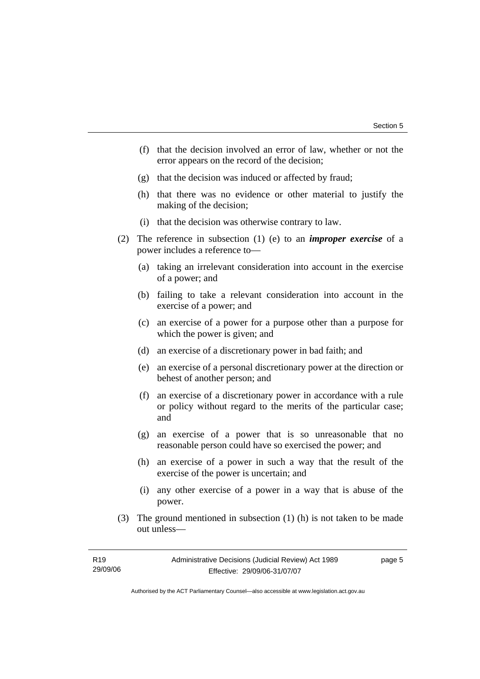- (f) that the decision involved an error of law, whether or not the error appears on the record of the decision;
- (g) that the decision was induced or affected by fraud;
- (h) that there was no evidence or other material to justify the making of the decision;
- (i) that the decision was otherwise contrary to law.
- (2) The reference in subsection (1) (e) to an *improper exercise* of a power includes a reference to—
	- (a) taking an irrelevant consideration into account in the exercise of a power; and
	- (b) failing to take a relevant consideration into account in the exercise of a power; and
	- (c) an exercise of a power for a purpose other than a purpose for which the power is given; and
	- (d) an exercise of a discretionary power in bad faith; and
	- (e) an exercise of a personal discretionary power at the direction or behest of another person; and
	- (f) an exercise of a discretionary power in accordance with a rule or policy without regard to the merits of the particular case; and
	- (g) an exercise of a power that is so unreasonable that no reasonable person could have so exercised the power; and
	- (h) an exercise of a power in such a way that the result of the exercise of the power is uncertain; and
	- (i) any other exercise of a power in a way that is abuse of the power.
- (3) The ground mentioned in subsection (1) (h) is not taken to be made out unless—

| R19      | Administrative Decisions (Judicial Review) Act 1989 | page 5 |
|----------|-----------------------------------------------------|--------|
| 29/09/06 | Effective: 29/09/06-31/07/07                        |        |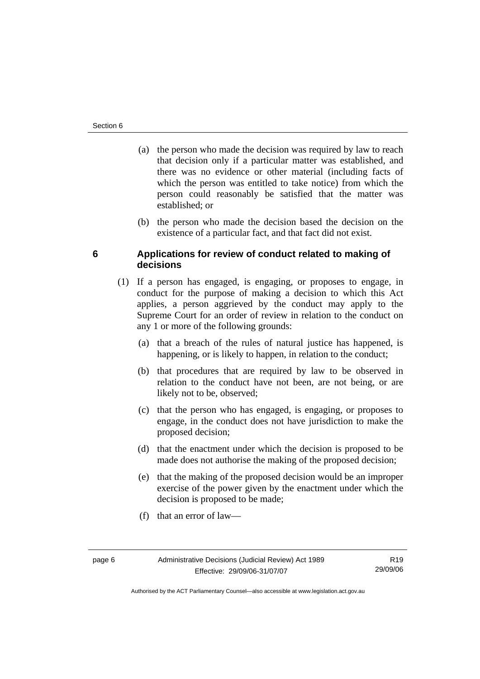- (a) the person who made the decision was required by law to reach that decision only if a particular matter was established, and there was no evidence or other material (including facts of which the person was entitled to take notice) from which the person could reasonably be satisfied that the matter was established; or
- (b) the person who made the decision based the decision on the existence of a particular fact, and that fact did not exist.

## **6 Applications for review of conduct related to making of decisions**

- (1) If a person has engaged, is engaging, or proposes to engage, in conduct for the purpose of making a decision to which this Act applies, a person aggrieved by the conduct may apply to the Supreme Court for an order of review in relation to the conduct on any 1 or more of the following grounds:
	- (a) that a breach of the rules of natural justice has happened, is happening, or is likely to happen, in relation to the conduct;
	- (b) that procedures that are required by law to be observed in relation to the conduct have not been, are not being, or are likely not to be, observed;
	- (c) that the person who has engaged, is engaging, or proposes to engage, in the conduct does not have jurisdiction to make the proposed decision;
	- (d) that the enactment under which the decision is proposed to be made does not authorise the making of the proposed decision;
	- (e) that the making of the proposed decision would be an improper exercise of the power given by the enactment under which the decision is proposed to be made;
	- (f) that an error of law—

R19 29/09/06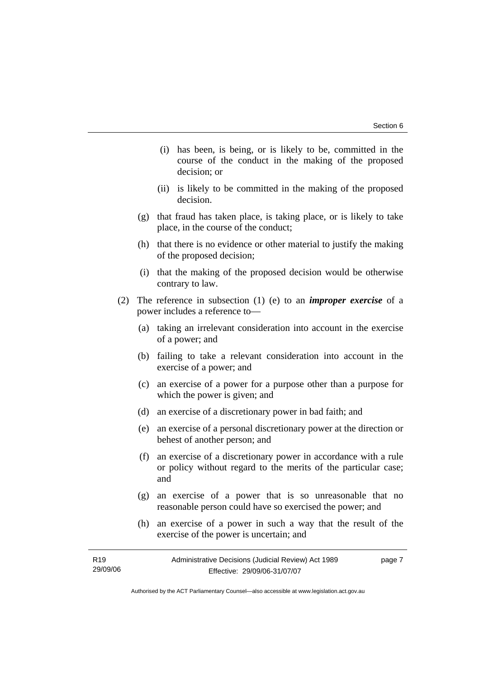- (i) has been, is being, or is likely to be, committed in the course of the conduct in the making of the proposed decision; or
- (ii) is likely to be committed in the making of the proposed decision.
- (g) that fraud has taken place, is taking place, or is likely to take place, in the course of the conduct;
- (h) that there is no evidence or other material to justify the making of the proposed decision;
- (i) that the making of the proposed decision would be otherwise contrary to law.
- (2) The reference in subsection (1) (e) to an *improper exercise* of a power includes a reference to—
	- (a) taking an irrelevant consideration into account in the exercise of a power; and
	- (b) failing to take a relevant consideration into account in the exercise of a power; and
	- (c) an exercise of a power for a purpose other than a purpose for which the power is given; and
	- (d) an exercise of a discretionary power in bad faith; and
	- (e) an exercise of a personal discretionary power at the direction or behest of another person; and
	- (f) an exercise of a discretionary power in accordance with a rule or policy without regard to the merits of the particular case; and
	- (g) an exercise of a power that is so unreasonable that no reasonable person could have so exercised the power; and
	- (h) an exercise of a power in such a way that the result of the exercise of the power is uncertain; and

| R <sub>19</sub> | Administrative Decisions (Judicial Review) Act 1989 | page 7 |
|-----------------|-----------------------------------------------------|--------|
| 29/09/06        | Effective: 29/09/06-31/07/07                        |        |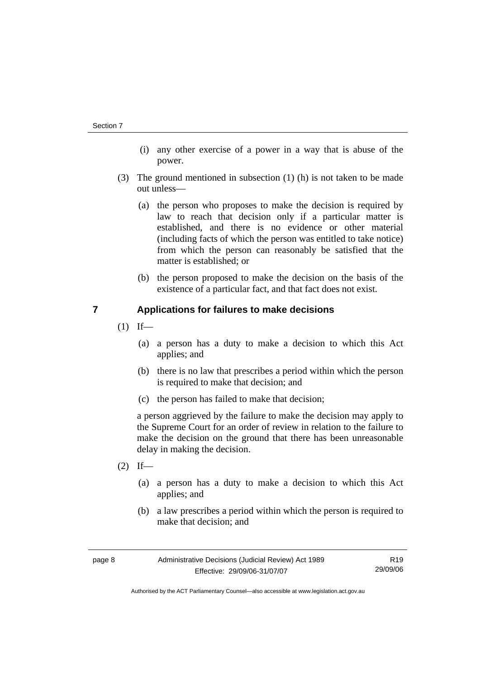- (i) any other exercise of a power in a way that is abuse of the power.
- (3) The ground mentioned in subsection (1) (h) is not taken to be made out unless—
	- (a) the person who proposes to make the decision is required by law to reach that decision only if a particular matter is established, and there is no evidence or other material (including facts of which the person was entitled to take notice) from which the person can reasonably be satisfied that the matter is established; or
	- (b) the person proposed to make the decision on the basis of the existence of a particular fact, and that fact does not exist.

## **7 Applications for failures to make decisions**

- $(1)$  If—
	- (a) a person has a duty to make a decision to which this Act applies; and
	- (b) there is no law that prescribes a period within which the person is required to make that decision; and
	- (c) the person has failed to make that decision;

a person aggrieved by the failure to make the decision may apply to the Supreme Court for an order of review in relation to the failure to make the decision on the ground that there has been unreasonable delay in making the decision.

- $(2)$  If—
	- (a) a person has a duty to make a decision to which this Act applies; and
	- (b) a law prescribes a period within which the person is required to make that decision; and

| page 8 | Administrative Decisions (Judicial Review) Act 1989 | R <sub>19</sub> |
|--------|-----------------------------------------------------|-----------------|
|        | Effective: 29/09/06-31/07/07                        | 29/09/06        |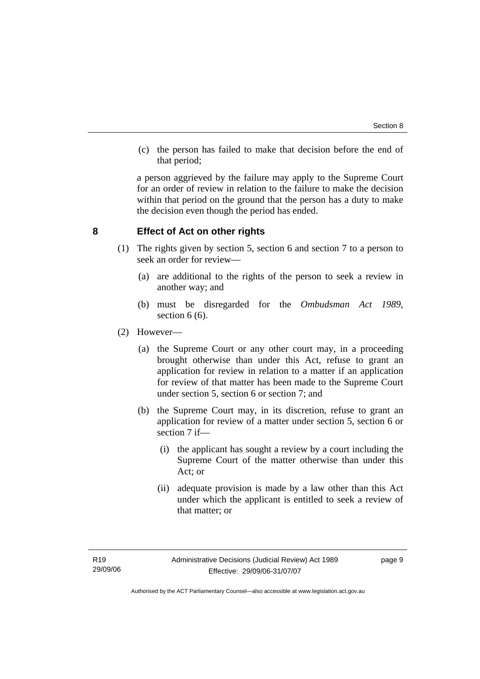(c) the person has failed to make that decision before the end of that period;

a person aggrieved by the failure may apply to the Supreme Court for an order of review in relation to the failure to make the decision within that period on the ground that the person has a duty to make the decision even though the period has ended.

## **8 Effect of Act on other rights**

- (1) The rights given by section 5, section 6 and section 7 to a person to seek an order for review—
	- (a) are additional to the rights of the person to seek a review in another way; and
	- (b) must be disregarded for the *Ombudsman Act 1989*, section 6 (6).
- (2) However—
	- (a) the Supreme Court or any other court may, in a proceeding brought otherwise than under this Act, refuse to grant an application for review in relation to a matter if an application for review of that matter has been made to the Supreme Court under section 5, section 6 or section 7; and
	- (b) the Supreme Court may, in its discretion, refuse to grant an application for review of a matter under section 5, section 6 or section 7 if—
		- (i) the applicant has sought a review by a court including the Supreme Court of the matter otherwise than under this Act; or
		- (ii) adequate provision is made by a law other than this Act under which the applicant is entitled to seek a review of that matter; or

page 9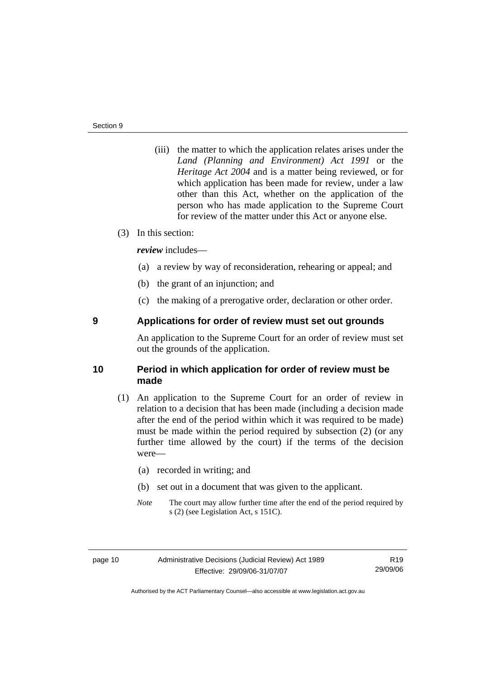(iii) the matter to which the application relates arises under the *Land (Planning and Environment) Act 1991* or the *Heritage Act 2004* and is a matter being reviewed, or for which application has been made for review, under a law other than this Act, whether on the application of the person who has made application to the Supreme Court for review of the matter under this Act or anyone else.

## (3) In this section:

*review* includes—

- (a) a review by way of reconsideration, rehearing or appeal; and
- (b) the grant of an injunction; and
- (c) the making of a prerogative order, declaration or other order.

## **9 Applications for order of review must set out grounds**

An application to the Supreme Court for an order of review must set out the grounds of the application.

## **10 Period in which application for order of review must be made**

- (1) An application to the Supreme Court for an order of review in relation to a decision that has been made (including a decision made after the end of the period within which it was required to be made) must be made within the period required by subsection (2) (or any further time allowed by the court) if the terms of the decision were—
	- (a) recorded in writing; and
	- (b) set out in a document that was given to the applicant.
	- *Note* The court may allow further time after the end of the period required by s (2) (see Legislation Act, s 151C).

R19 29/09/06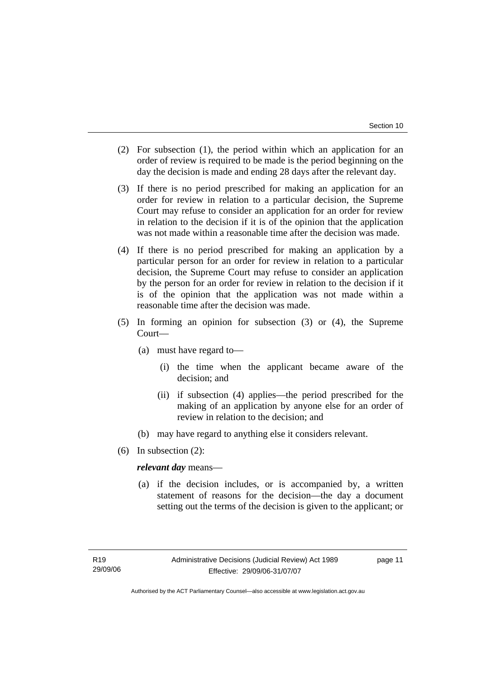- (2) For subsection (1), the period within which an application for an order of review is required to be made is the period beginning on the day the decision is made and ending 28 days after the relevant day.
- (3) If there is no period prescribed for making an application for an order for review in relation to a particular decision, the Supreme Court may refuse to consider an application for an order for review in relation to the decision if it is of the opinion that the application was not made within a reasonable time after the decision was made.
- (4) If there is no period prescribed for making an application by a particular person for an order for review in relation to a particular decision, the Supreme Court may refuse to consider an application by the person for an order for review in relation to the decision if it is of the opinion that the application was not made within a reasonable time after the decision was made.
- (5) In forming an opinion for subsection (3) or (4), the Supreme Court—
	- (a) must have regard to—
		- (i) the time when the applicant became aware of the decision; and
		- (ii) if subsection (4) applies—the period prescribed for the making of an application by anyone else for an order of review in relation to the decision; and
	- (b) may have regard to anything else it considers relevant.
- (6) In subsection (2):

### *relevant day* means—

 (a) if the decision includes, or is accompanied by, a written statement of reasons for the decision—the day a document setting out the terms of the decision is given to the applicant; or

page 11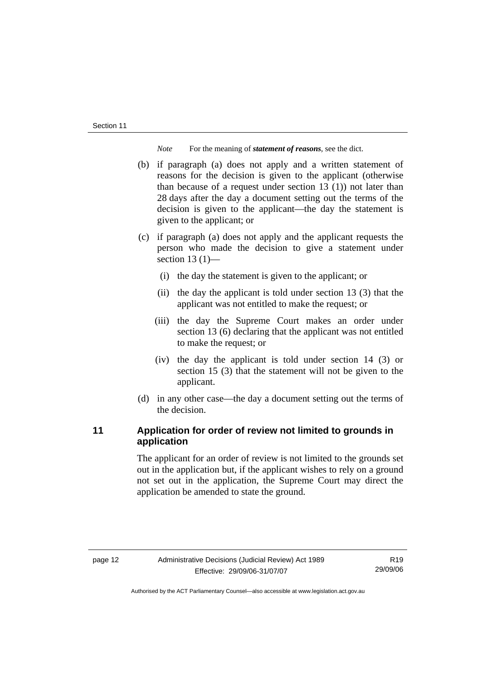*Note* For the meaning of *statement of reasons*, see the dict.

- (b) if paragraph (a) does not apply and a written statement of reasons for the decision is given to the applicant (otherwise than because of a request under section 13 (1)) not later than 28 days after the day a document setting out the terms of the decision is given to the applicant—the day the statement is given to the applicant; or
- (c) if paragraph (a) does not apply and the applicant requests the person who made the decision to give a statement under section  $13(1)$ —
	- (i) the day the statement is given to the applicant; or
	- (ii) the day the applicant is told under section 13 (3) that the applicant was not entitled to make the request; or
	- (iii) the day the Supreme Court makes an order under section 13 (6) declaring that the applicant was not entitled to make the request; or
	- (iv) the day the applicant is told under section 14 (3) or section 15 (3) that the statement will not be given to the applicant.
- (d) in any other case—the day a document setting out the terms of the decision.

## **11 Application for order of review not limited to grounds in application**

The applicant for an order of review is not limited to the grounds set out in the application but, if the applicant wishes to rely on a ground not set out in the application, the Supreme Court may direct the application be amended to state the ground.

R19 29/09/06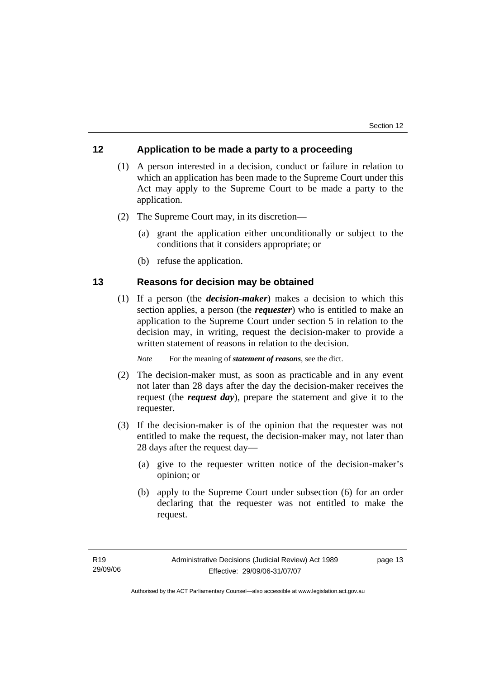## **12 Application to be made a party to a proceeding**

- (1) A person interested in a decision, conduct or failure in relation to which an application has been made to the Supreme Court under this Act may apply to the Supreme Court to be made a party to the application.
- (2) The Supreme Court may, in its discretion—
	- (a) grant the application either unconditionally or subject to the conditions that it considers appropriate; or
	- (b) refuse the application.

## **13 Reasons for decision may be obtained**

 (1) If a person (the *decision-maker*) makes a decision to which this section applies, a person (the *requester*) who is entitled to make an application to the Supreme Court under section 5 in relation to the decision may, in writing, request the decision-maker to provide a written statement of reasons in relation to the decision.

*Note* For the meaning of *statement of reasons*, see the dict.

- (2) The decision-maker must, as soon as practicable and in any event not later than 28 days after the day the decision-maker receives the request (the *request day*), prepare the statement and give it to the requester.
- (3) If the decision-maker is of the opinion that the requester was not entitled to make the request, the decision-maker may, not later than 28 days after the request day—
	- (a) give to the requester written notice of the decision-maker's opinion; or
	- (b) apply to the Supreme Court under subsection (6) for an order declaring that the requester was not entitled to make the request.

page 13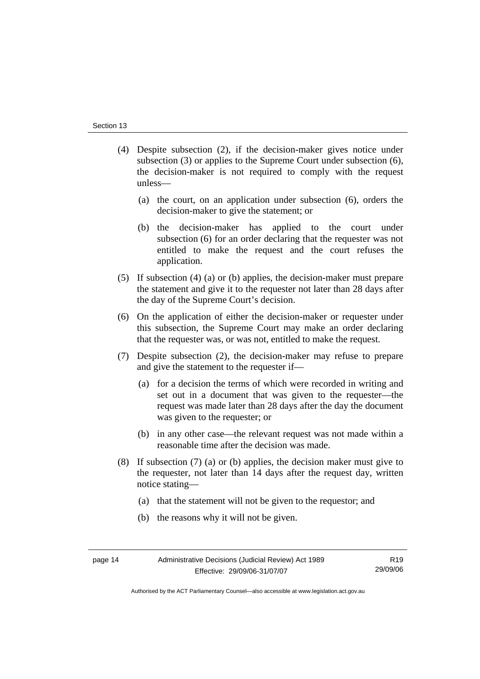- (4) Despite subsection (2), if the decision-maker gives notice under subsection (3) or applies to the Supreme Court under subsection (6), the decision-maker is not required to comply with the request unless—
	- (a) the court, on an application under subsection (6), orders the decision-maker to give the statement; or
	- (b) the decision-maker has applied to the court under subsection (6) for an order declaring that the requester was not entitled to make the request and the court refuses the application.
- (5) If subsection (4) (a) or (b) applies, the decision-maker must prepare the statement and give it to the requester not later than 28 days after the day of the Supreme Court's decision.
- (6) On the application of either the decision-maker or requester under this subsection, the Supreme Court may make an order declaring that the requester was, or was not, entitled to make the request.
- (7) Despite subsection (2), the decision-maker may refuse to prepare and give the statement to the requester if—
	- (a) for a decision the terms of which were recorded in writing and set out in a document that was given to the requester—the request was made later than 28 days after the day the document was given to the requester; or
	- (b) in any other case—the relevant request was not made within a reasonable time after the decision was made.
- (8) If subsection (7) (a) or (b) applies, the decision maker must give to the requester, not later than 14 days after the request day, written notice stating—
	- (a) that the statement will not be given to the requestor; and
	- (b) the reasons why it will not be given.

R19 29/09/06

Authorised by the ACT Parliamentary Counsel—also accessible at www.legislation.act.gov.au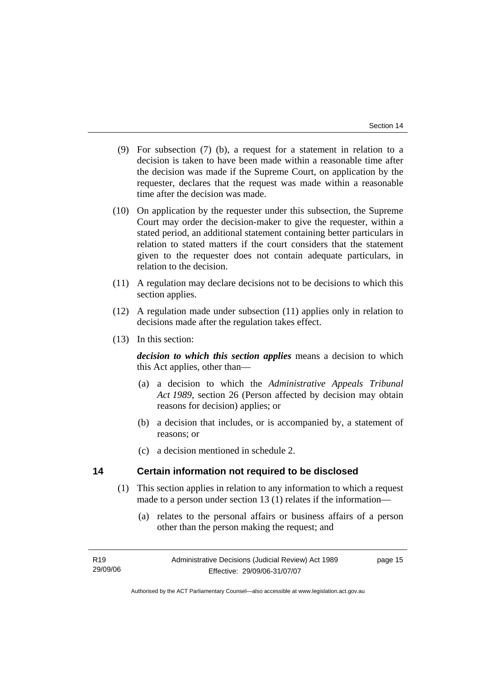- (9) For subsection (7) (b), a request for a statement in relation to a decision is taken to have been made within a reasonable time after the decision was made if the Supreme Court, on application by the requester, declares that the request was made within a reasonable time after the decision was made.
- (10) On application by the requester under this subsection, the Supreme Court may order the decision-maker to give the requester, within a stated period, an additional statement containing better particulars in relation to stated matters if the court considers that the statement given to the requester does not contain adequate particulars, in relation to the decision.
- (11) A regulation may declare decisions not to be decisions to which this section applies.
- (12) A regulation made under subsection (11) applies only in relation to decisions made after the regulation takes effect.
- (13) In this section:

*decision to which this section applies* means a decision to which this Act applies, other than—

- (a) a decision to which the *Administrative Appeals Tribunal Act 1989*, section 26 (Person affected by decision may obtain reasons for decision) applies; or
- (b) a decision that includes, or is accompanied by, a statement of reasons; or
- (c) a decision mentioned in schedule 2.

## **14 Certain information not required to be disclosed**

- (1) This section applies in relation to any information to which a request made to a person under section 13 (1) relates if the information—
	- (a) relates to the personal affairs or business affairs of a person other than the person making the request; and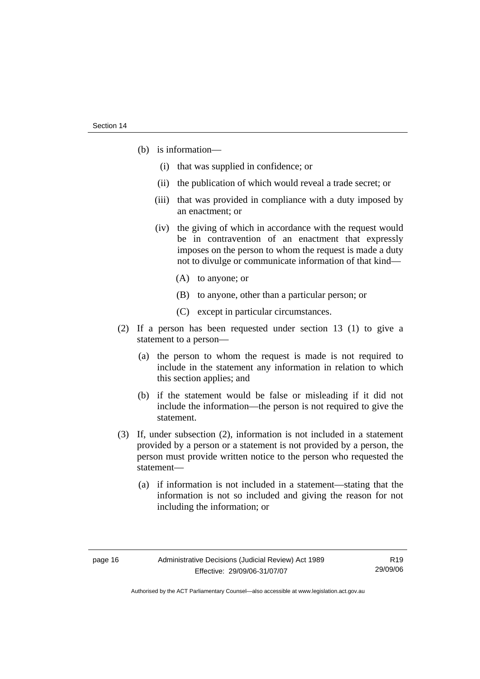- (b) is information—
	- (i) that was supplied in confidence; or
	- (ii) the publication of which would reveal a trade secret; or
	- (iii) that was provided in compliance with a duty imposed by an enactment; or
	- (iv) the giving of which in accordance with the request would be in contravention of an enactment that expressly imposes on the person to whom the request is made a duty not to divulge or communicate information of that kind—
		- (A) to anyone; or
		- (B) to anyone, other than a particular person; or
		- (C) except in particular circumstances.
- (2) If a person has been requested under section 13 (1) to give a statement to a person—
	- (a) the person to whom the request is made is not required to include in the statement any information in relation to which this section applies; and
	- (b) if the statement would be false or misleading if it did not include the information—the person is not required to give the statement.
- (3) If, under subsection (2), information is not included in a statement provided by a person or a statement is not provided by a person, the person must provide written notice to the person who requested the statement—
	- (a) if information is not included in a statement—stating that the information is not so included and giving the reason for not including the information; or

R19 29/09/06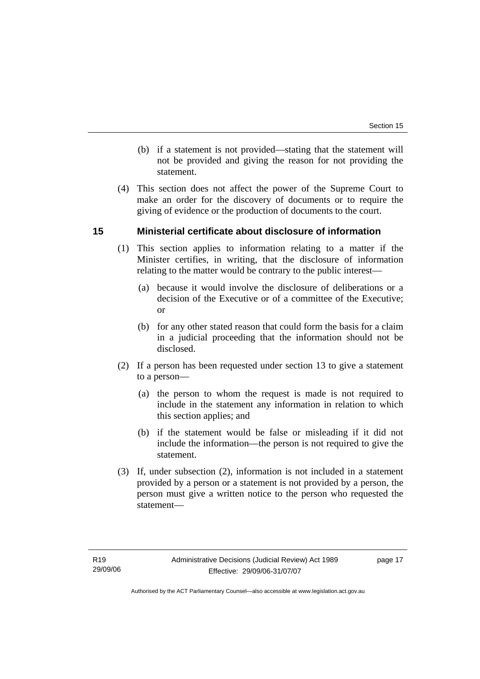- (b) if a statement is not provided—stating that the statement will not be provided and giving the reason for not providing the statement.
- (4) This section does not affect the power of the Supreme Court to make an order for the discovery of documents or to require the giving of evidence or the production of documents to the court.

## **15 Ministerial certificate about disclosure of information**

- (1) This section applies to information relating to a matter if the Minister certifies, in writing, that the disclosure of information relating to the matter would be contrary to the public interest—
	- (a) because it would involve the disclosure of deliberations or a decision of the Executive or of a committee of the Executive; or
	- (b) for any other stated reason that could form the basis for a claim in a judicial proceeding that the information should not be disclosed.
- (2) If a person has been requested under section 13 to give a statement to a person—
	- (a) the person to whom the request is made is not required to include in the statement any information in relation to which this section applies; and
	- (b) if the statement would be false or misleading if it did not include the information—the person is not required to give the statement.
- (3) If, under subsection (2), information is not included in a statement provided by a person or a statement is not provided by a person, the person must give a written notice to the person who requested the statement—

page 17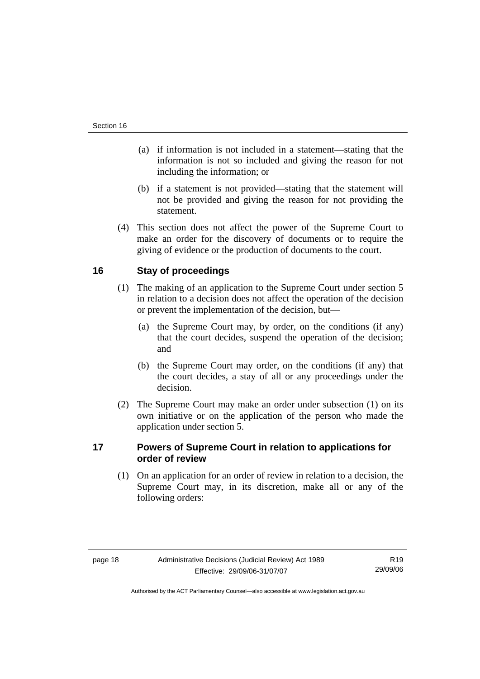- (a) if information is not included in a statement—stating that the information is not so included and giving the reason for not including the information; or
- (b) if a statement is not provided—stating that the statement will not be provided and giving the reason for not providing the statement.
- (4) This section does not affect the power of the Supreme Court to make an order for the discovery of documents or to require the giving of evidence or the production of documents to the court.

## **16 Stay of proceedings**

- (1) The making of an application to the Supreme Court under section 5 in relation to a decision does not affect the operation of the decision or prevent the implementation of the decision, but—
	- (a) the Supreme Court may, by order, on the conditions (if any) that the court decides, suspend the operation of the decision; and
	- (b) the Supreme Court may order, on the conditions (if any) that the court decides, a stay of all or any proceedings under the decision.
- (2) The Supreme Court may make an order under subsection (1) on its own initiative or on the application of the person who made the application under section 5.

## **17 Powers of Supreme Court in relation to applications for order of review**

 (1) On an application for an order of review in relation to a decision, the Supreme Court may, in its discretion, make all or any of the following orders:

R19 29/09/06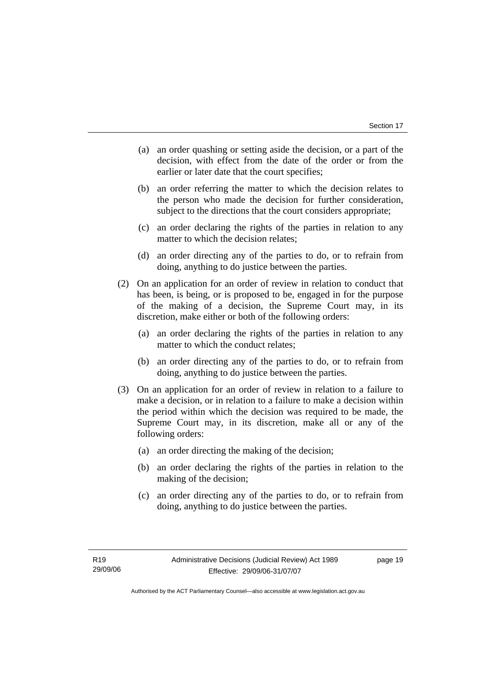- (a) an order quashing or setting aside the decision, or a part of the decision, with effect from the date of the order or from the earlier or later date that the court specifies;
- (b) an order referring the matter to which the decision relates to the person who made the decision for further consideration, subject to the directions that the court considers appropriate;
- (c) an order declaring the rights of the parties in relation to any matter to which the decision relates;
- (d) an order directing any of the parties to do, or to refrain from doing, anything to do justice between the parties.
- (2) On an application for an order of review in relation to conduct that has been, is being, or is proposed to be, engaged in for the purpose of the making of a decision, the Supreme Court may, in its discretion, make either or both of the following orders:
	- (a) an order declaring the rights of the parties in relation to any matter to which the conduct relates;
	- (b) an order directing any of the parties to do, or to refrain from doing, anything to do justice between the parties.
- (3) On an application for an order of review in relation to a failure to make a decision, or in relation to a failure to make a decision within the period within which the decision was required to be made, the Supreme Court may, in its discretion, make all or any of the following orders:
	- (a) an order directing the making of the decision;
	- (b) an order declaring the rights of the parties in relation to the making of the decision;
	- (c) an order directing any of the parties to do, or to refrain from doing, anything to do justice between the parties.

page 19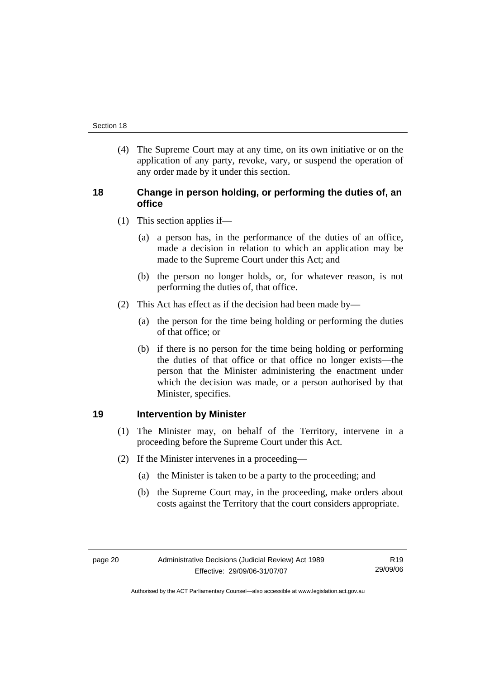(4) The Supreme Court may at any time, on its own initiative or on the application of any party, revoke, vary, or suspend the operation of any order made by it under this section.

## **18 Change in person holding, or performing the duties of, an office**

- (1) This section applies if—
	- (a) a person has, in the performance of the duties of an office, made a decision in relation to which an application may be made to the Supreme Court under this Act; and
	- (b) the person no longer holds, or, for whatever reason, is not performing the duties of, that office.
- (2) This Act has effect as if the decision had been made by—
	- (a) the person for the time being holding or performing the duties of that office; or
	- (b) if there is no person for the time being holding or performing the duties of that office or that office no longer exists—the person that the Minister administering the enactment under which the decision was made, or a person authorised by that Minister, specifies.

## **19 Intervention by Minister**

- (1) The Minister may, on behalf of the Territory, intervene in a proceeding before the Supreme Court under this Act.
- (2) If the Minister intervenes in a proceeding—
	- (a) the Minister is taken to be a party to the proceeding; and
	- (b) the Supreme Court may, in the proceeding, make orders about costs against the Territory that the court considers appropriate.

R19 29/09/06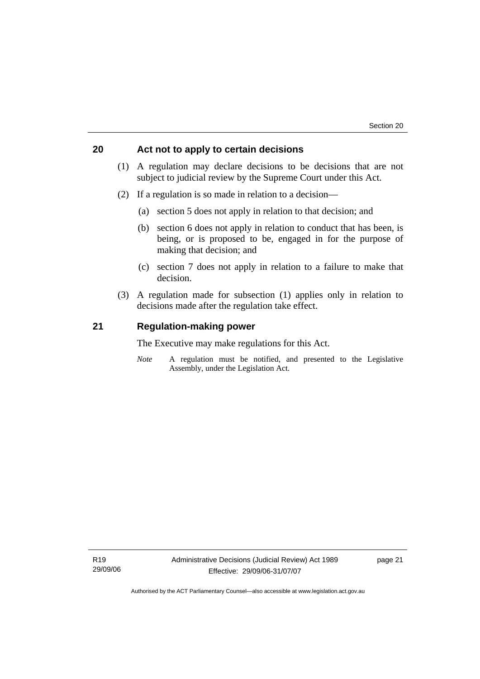## **20 Act not to apply to certain decisions**

- (1) A regulation may declare decisions to be decisions that are not subject to judicial review by the Supreme Court under this Act.
- (2) If a regulation is so made in relation to a decision—
	- (a) section 5 does not apply in relation to that decision; and
	- (b) section 6 does not apply in relation to conduct that has been, is being, or is proposed to be, engaged in for the purpose of making that decision; and
	- (c) section 7 does not apply in relation to a failure to make that decision.
- (3) A regulation made for subsection (1) applies only in relation to decisions made after the regulation take effect.

## **21 Regulation-making power**

The Executive may make regulations for this Act.

*Note* A regulation must be notified, and presented to the Legislative Assembly, under the Legislation Act.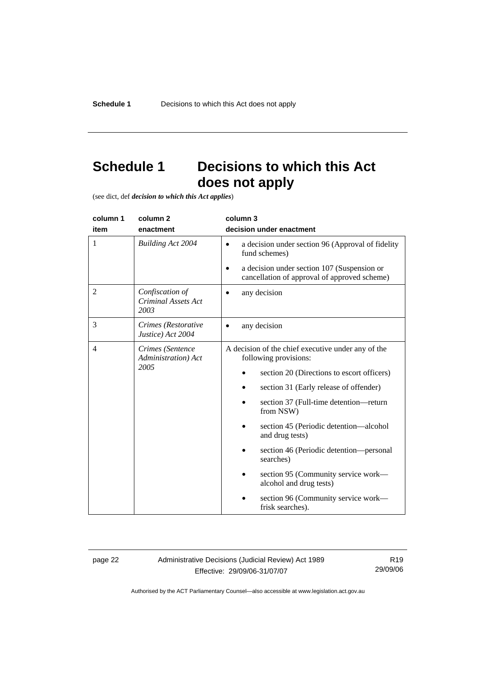## **Schedule 1 Decisions to which this Act does not apply**

(see dict, def *decision to which this Act applies*)

| column 1       | column <sub>2</sub>                                   | column 3                                                                                                 |
|----------------|-------------------------------------------------------|----------------------------------------------------------------------------------------------------------|
| item           | enactment                                             | decision under enactment                                                                                 |
| 1              | <b>Building Act 2004</b>                              | a decision under section 96 (Approval of fidelity<br>$\bullet$<br>fund schemes)                          |
|                |                                                       | a decision under section 107 (Suspension or<br>$\bullet$<br>cancellation of approval of approved scheme) |
| $\overline{2}$ | Confiscation of<br><b>Criminal Assets Act</b><br>2003 | any decision                                                                                             |
| 3              | Crimes (Restorative<br>Justice) Act 2004              | any decision                                                                                             |
| 4              | Crimes (Sentence<br>Administration) Act<br>2005       | A decision of the chief executive under any of the<br>following provisions:                              |
|                |                                                       | section 20 (Directions to escort officers)                                                               |
|                |                                                       | section 31 (Early release of offender)                                                                   |
|                |                                                       | section 37 (Full-time detention-return<br>from NSW)                                                      |
|                |                                                       | section 45 (Periodic detention—alcohol<br>and drug tests)                                                |
|                |                                                       | section 46 (Periodic detention—personal<br>searches)                                                     |
|                |                                                       | section 95 (Community service work—<br>alcohol and drug tests)                                           |
|                |                                                       | section 96 (Community service work—<br>frisk searches).                                                  |

page 22 Administrative Decisions (Judicial Review) Act 1989 Effective: 29/09/06-31/07/07

R19 29/09/06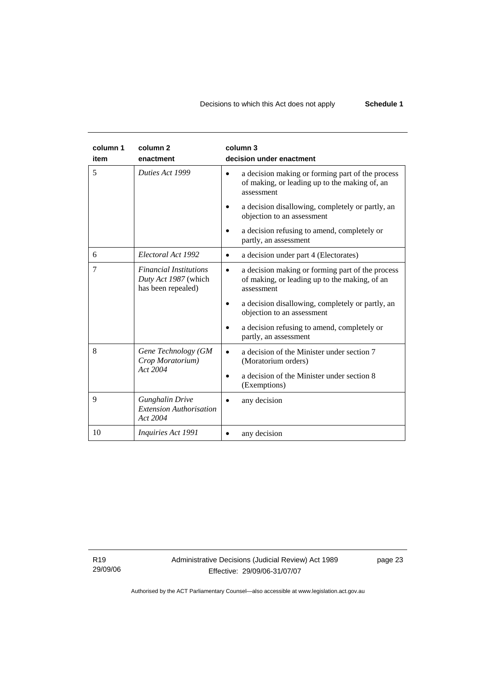| column 1<br>item | column <sub>2</sub><br>enactment                                            | column 3<br>decision under enactment                                                                                         |
|------------------|-----------------------------------------------------------------------------|------------------------------------------------------------------------------------------------------------------------------|
| 5                | Duties Act 1999                                                             | a decision making or forming part of the process<br>$\bullet$<br>of making, or leading up to the making of, an<br>assessment |
|                  |                                                                             | a decision disallowing, completely or partly, an<br>objection to an assessment                                               |
|                  |                                                                             | a decision refusing to amend, completely or<br>partly, an assessment                                                         |
| 6                | Electoral Act 1992                                                          | a decision under part 4 (Electorates)<br>$\bullet$                                                                           |
| $\overline{7}$   | <b>Financial Institutions</b><br>Duty Act 1987 (which<br>has been repealed) | a decision making or forming part of the process<br>$\bullet$<br>of making, or leading up to the making, of an<br>assessment |
|                  |                                                                             | a decision disallowing, completely or partly, an<br>objection to an assessment                                               |
|                  |                                                                             | a decision refusing to amend, completely or<br>partly, an assessment                                                         |
| 8                | Gene Technology (GM<br>Crop Moratorium)                                     | a decision of the Minister under section 7<br>(Moratorium orders)                                                            |
|                  | Act 2004                                                                    | a decision of the Minister under section 8<br>(Exemptions)                                                                   |
| 9                | <b>Gunghalin Drive</b><br><b>Extension Authorisation</b><br>Act 2004        | any decision                                                                                                                 |
| 10               | Inquiries Act 1991                                                          | any decision                                                                                                                 |

R19 29/09/06 page 23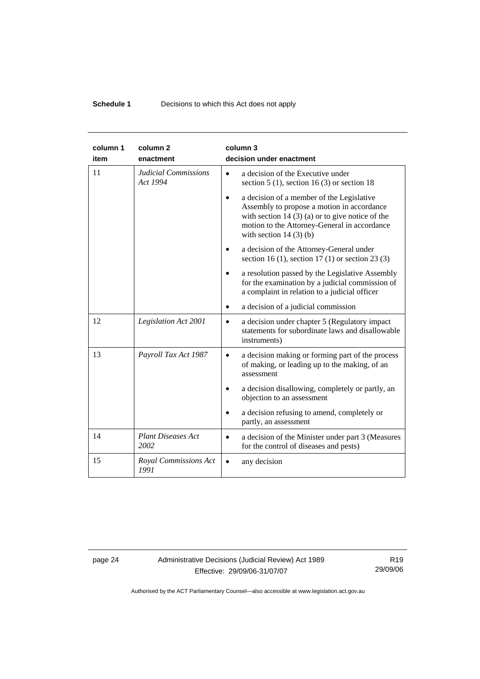## **Schedule 1 Decisions to which this Act does not apply**

| column 1<br>item | column <sub>2</sub><br>enactment        | column 3<br>decision under enactment                                                                                                                                                                                     |
|------------------|-----------------------------------------|--------------------------------------------------------------------------------------------------------------------------------------------------------------------------------------------------------------------------|
| 11               | <b>Judicial Commissions</b><br>Act 1994 | a decision of the Executive under<br>$\bullet$<br>section $5(1)$ , section $16(3)$ or section 18                                                                                                                         |
|                  |                                         | a decision of a member of the Legislative<br>Assembly to propose a motion in accordance<br>with section 14 $(3)$ (a) or to give notice of the<br>motion to the Attorney-General in accordance<br>with section $14(3)(b)$ |
|                  |                                         | a decision of the Attorney-General under<br>section 16 (1), section 17 (1) or section 23 (3)                                                                                                                             |
|                  |                                         | a resolution passed by the Legislative Assembly<br>for the examination by a judicial commission of<br>a complaint in relation to a judicial officer                                                                      |
|                  |                                         | a decision of a judicial commission                                                                                                                                                                                      |
| 12               | Legislation Act 2001                    | a decision under chapter 5 (Regulatory impact<br>$\bullet$<br>statements for subordinate laws and disallowable<br>instruments)                                                                                           |
| 13               | Payroll Tax Act 1987                    | a decision making or forming part of the process<br>$\bullet$<br>of making, or leading up to the making, of an<br>assessment                                                                                             |
|                  |                                         | a decision disallowing, completely or partly, an<br>objection to an assessment                                                                                                                                           |
|                  |                                         | a decision refusing to amend, completely or<br>partly, an assessment                                                                                                                                                     |
| 14               | <b>Plant Diseases Act</b><br>2002       | a decision of the Minister under part 3 (Measures<br>$\bullet$<br>for the control of diseases and pests)                                                                                                                 |
| 15               | Royal Commissions Act<br>1991           | any decision                                                                                                                                                                                                             |

page 24 Administrative Decisions (Judicial Review) Act 1989 Effective: 29/09/06-31/07/07

R19 29/09/06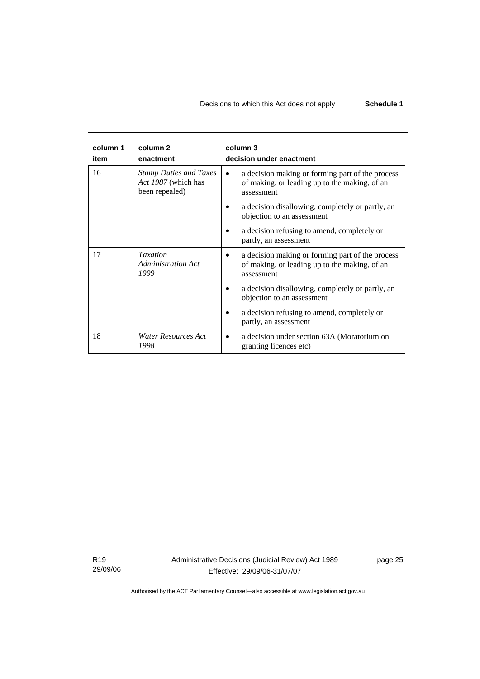## Decisions to which this Act does not apply **Schedule 1**

| column 1<br>item | column <sub>2</sub><br>enactment                                       | column 3<br>decision under enactment                                                                                         |
|------------------|------------------------------------------------------------------------|------------------------------------------------------------------------------------------------------------------------------|
| 16               | <b>Stamp Duties and Taxes</b><br>Act 1987 (which has<br>been repealed) | a decision making or forming part of the process<br>$\bullet$<br>of making, or leading up to the making, of an<br>assessment |
|                  |                                                                        | a decision disallowing, completely or partly, an<br>objection to an assessment                                               |
|                  |                                                                        | a decision refusing to amend, completely or<br>partly, an assessment                                                         |
| 17               | <b>Taxation</b><br><b>Administration Act</b><br>1999                   | a decision making or forming part of the process<br>of making, or leading up to the making, of an<br>assessment              |
|                  |                                                                        | a decision disallowing, completely or partly, an<br>objection to an assessment                                               |
|                  |                                                                        | a decision refusing to amend, completely or<br>partly, an assessment                                                         |
| 18               | Water Resources Act<br>1998                                            | a decision under section 63A (Moratorium on<br>granting licences etc)                                                        |

R19 29/09/06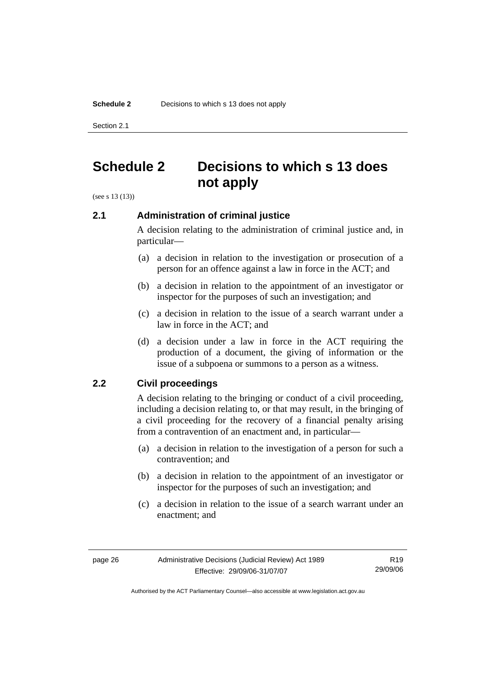Section 2.1

## **Schedule 2 Decisions to which s 13 does not apply**

(see s 13 (13))

## **2.1 Administration of criminal justice**

A decision relating to the administration of criminal justice and, in particular—

- (a) a decision in relation to the investigation or prosecution of a person for an offence against a law in force in the ACT; and
- (b) a decision in relation to the appointment of an investigator or inspector for the purposes of such an investigation; and
- (c) a decision in relation to the issue of a search warrant under a law in force in the ACT; and
- (d) a decision under a law in force in the ACT requiring the production of a document, the giving of information or the issue of a subpoena or summons to a person as a witness.

## **2.2 Civil proceedings**

A decision relating to the bringing or conduct of a civil proceeding, including a decision relating to, or that may result, in the bringing of a civil proceeding for the recovery of a financial penalty arising from a contravention of an enactment and, in particular—

- (a) a decision in relation to the investigation of a person for such a contravention; and
- (b) a decision in relation to the appointment of an investigator or inspector for the purposes of such an investigation; and
- (c) a decision in relation to the issue of a search warrant under an enactment; and

R19 29/09/06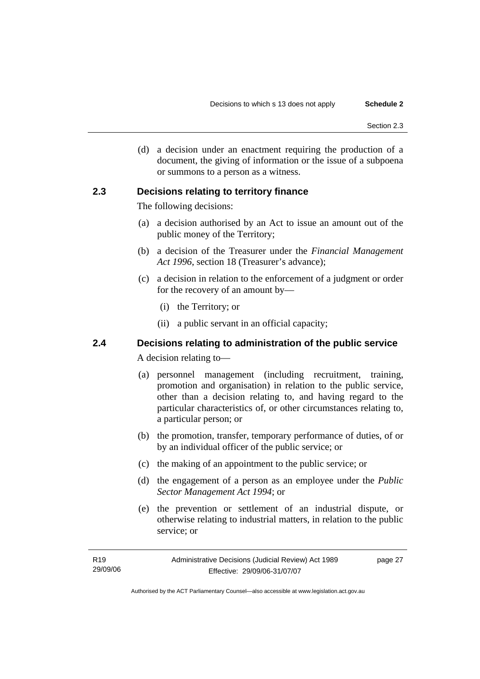(d) a decision under an enactment requiring the production of a document, the giving of information or the issue of a subpoena or summons to a person as a witness.

## **2.3 Decisions relating to territory finance**

The following decisions:

- (a) a decision authorised by an Act to issue an amount out of the public money of the Territory;
- (b) a decision of the Treasurer under the *Financial Management Act 1996*, section 18 (Treasurer's advance);
- (c) a decision in relation to the enforcement of a judgment or order for the recovery of an amount by—
	- (i) the Territory; or
	- (ii) a public servant in an official capacity;

## **2.4 Decisions relating to administration of the public service**

A decision relating to—

- (a) personnel management (including recruitment, training, promotion and organisation) in relation to the public service, other than a decision relating to, and having regard to the particular characteristics of, or other circumstances relating to, a particular person; or
- (b) the promotion, transfer, temporary performance of duties, of or by an individual officer of the public service; or
- (c) the making of an appointment to the public service; or
- (d) the engagement of a person as an employee under the *Public Sector Management Act 1994*; or
- (e) the prevention or settlement of an industrial dispute, or otherwise relating to industrial matters, in relation to the public service; or

| R19      | Administrative Decisions (Judicial Review) Act 1989 | page 27 |
|----------|-----------------------------------------------------|---------|
| 29/09/06 | Effective: 29/09/06-31/07/07                        |         |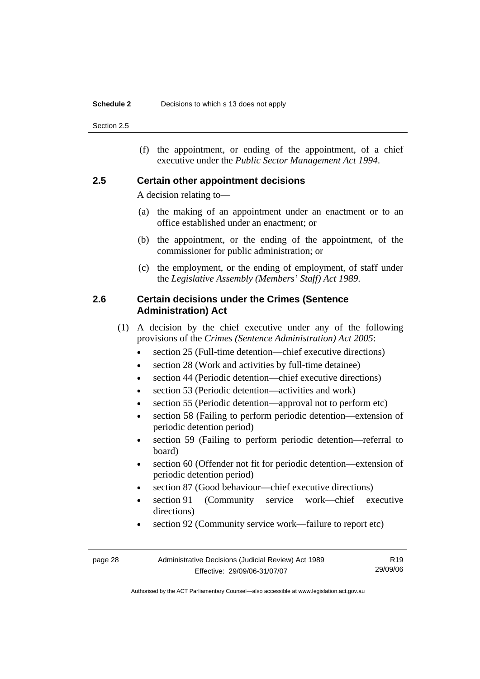#### **Schedule 2** Decisions to which s 13 does not apply

Section 2.5

 (f) the appointment, or ending of the appointment, of a chief executive under the *Public Sector Management Act 1994*.

## **2.5 Certain other appointment decisions**

A decision relating to—

- (a) the making of an appointment under an enactment or to an office established under an enactment; or
- (b) the appointment, or the ending of the appointment, of the commissioner for public administration; or
- (c) the employment, or the ending of employment, of staff under the *Legislative Assembly (Members' Staff) Act 1989*.

## **2.6 Certain decisions under the Crimes (Sentence Administration) Act**

- (1) A decision by the chief executive under any of the following provisions of the *Crimes (Sentence Administration) Act 2005*:
	- section 25 (Full-time detention—chief executive directions)
	- section 28 (Work and activities by full-time detainee)
	- section 44 (Periodic detention—chief executive directions)
	- section 53 (Periodic detention—activities and work)
	- section 55 (Periodic detention—approval not to perform etc)
	- section 58 (Failing to perform periodic detention—extension of periodic detention period)
	- section 59 (Failing to perform periodic detention—referral to board)
	- section 60 (Offender not fit for periodic detention—extension of periodic detention period)
	- section 87 (Good behaviour—chief executive directions)
	- section 91 (Community service work—chief executive directions)
	- section 92 (Community service work—failure to report etc)

| page 28 | Administrative Decisions (Judicial Review) Act 1989 | R19      |
|---------|-----------------------------------------------------|----------|
|         | Effective: 29/09/06-31/07/07                        | 29/09/06 |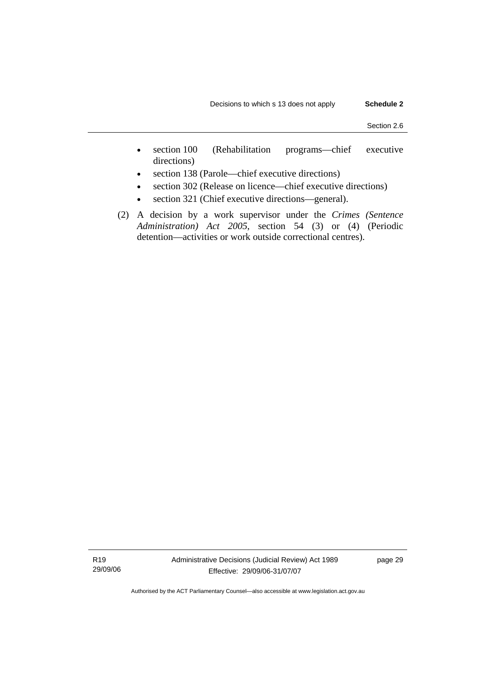- section 100 (Rehabilitation programs—chief executive directions)
- section 138 (Parole—chief executive directions)
- section 302 (Release on licence—chief executive directions)
- section 321 (Chief executive directions—general).
- (2) A decision by a work supervisor under the *Crimes (Sentence Administration) Act 2005*, section 54 (3) or (4) (Periodic detention—activities or work outside correctional centres).

R19 29/09/06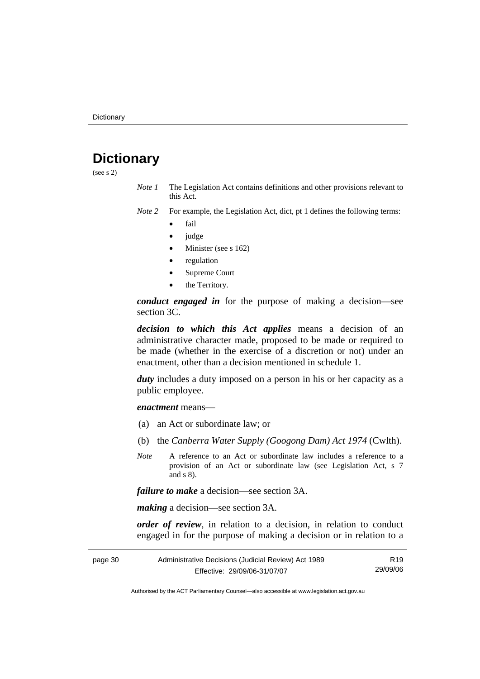## **Dictionary**

(see s 2)

- *Note 1* The Legislation Act contains definitions and other provisions relevant to this Act.
- *Note 2* For example, the Legislation Act, dict, pt 1 defines the following terms:
	- fail
	- judge
	- Minister (see s 162)
	- regulation
	- Supreme Court
	- the Territory.

*conduct engaged in* for the purpose of making a decision—see section 3C.

*decision to which this Act applies* means a decision of an administrative character made, proposed to be made or required to be made (whether in the exercise of a discretion or not) under an enactment, other than a decision mentioned in schedule 1.

*duty* includes a duty imposed on a person in his or her capacity as a public employee.

*enactment* means—

- (a) an Act or subordinate law; or
- (b) the *Canberra Water Supply (Googong Dam) Act 1974* (Cwlth).
- *Note* A reference to an Act or subordinate law includes a reference to a provision of an Act or subordinate law (see Legislation Act, s 7 and s 8).

*failure to make* a decision—see section 3A.

*making* a decision—see section 3A.

*order of review*, in relation to a decision, in relation to conduct engaged in for the purpose of making a decision or in relation to a

| page 30 | Administrative Decisions (Judicial Review) Act 1989 | R19      |
|---------|-----------------------------------------------------|----------|
|         | Effective: 29/09/06-31/07/07                        | 29/09/06 |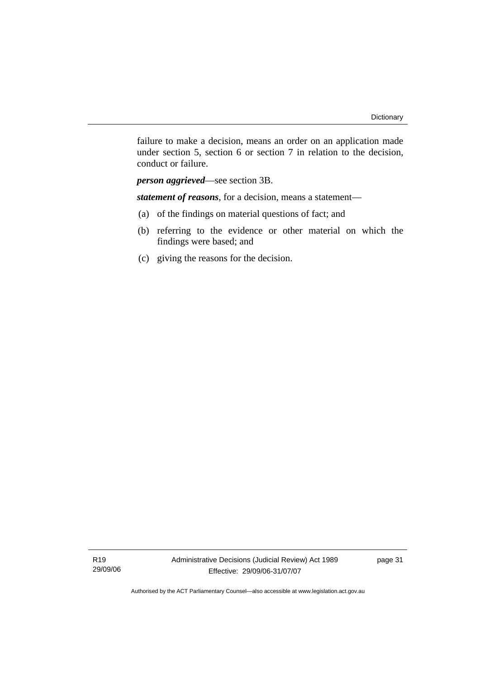failure to make a decision, means an order on an application made under section 5, section 6 or section 7 in relation to the decision, conduct or failure.

*person aggrieved*—see section 3B.

*statement of reasons*, for a decision, means a statement—

- (a) of the findings on material questions of fact; and
- (b) referring to the evidence or other material on which the findings were based; and
- (c) giving the reasons for the decision.

R19 29/09/06 page 31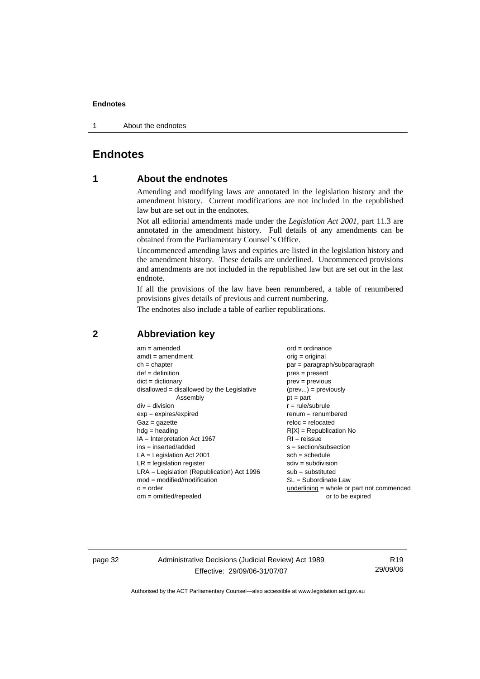1 About the endnotes

## **Endnotes**

## **1 About the endnotes**

Amending and modifying laws are annotated in the legislation history and the amendment history. Current modifications are not included in the republished law but are set out in the endnotes.

Not all editorial amendments made under the *Legislation Act 2001*, part 11.3 are annotated in the amendment history. Full details of any amendments can be obtained from the Parliamentary Counsel's Office.

Uncommenced amending laws and expiries are listed in the legislation history and the amendment history. These details are underlined. Uncommenced provisions and amendments are not included in the republished law but are set out in the last endnote.

If all the provisions of the law have been renumbered, a table of renumbered provisions gives details of previous and current numbering.

The endnotes also include a table of earlier republications.

| $am = amended$                               | $ord = ordinance$                           |
|----------------------------------------------|---------------------------------------------|
| $amdt = amendment$                           | orig = original                             |
| $ch = chapter$                               | $par = paragraph/subparagraph$              |
| $def = definition$                           | $pres = present$                            |
| $dict = dictionary$                          | $prev = previous$                           |
| disallowed = disallowed by the Legislative   | $(\text{prev}) = \text{previously}$         |
| Assembly                                     | $pt = part$                                 |
| $div =$ division                             | $r = rule/subrule$                          |
| $exp = expires/expired$                      | $renum = renumbered$                        |
| $Gaz = gazette$                              | $reloc = relocated$                         |
| $hdg =$ heading                              | $R[X]$ = Republication No                   |
| $IA = Interpretation Act 1967$               | $RI = reissue$                              |
| $ins = inserted/added$                       | $s = section/subsection$                    |
| $LA =$ Legislation Act 2001                  | $sch = schedule$                            |
| $LR =$ legislation register                  | $sdiv = subdivision$                        |
| $LRA =$ Legislation (Republication) Act 1996 | $sub = substituted$                         |
| $mod = modified/modification$                | $SL = Subordinate$ Law                      |
| $o = order$                                  | $underlining = whole or part not commenced$ |
| $om = omitted/repealed$                      | or to be expired                            |
|                                              |                                             |

## **2 Abbreviation key**

page 32 Administrative Decisions (Judicial Review) Act 1989 Effective: 29/09/06-31/07/07

R19 29/09/06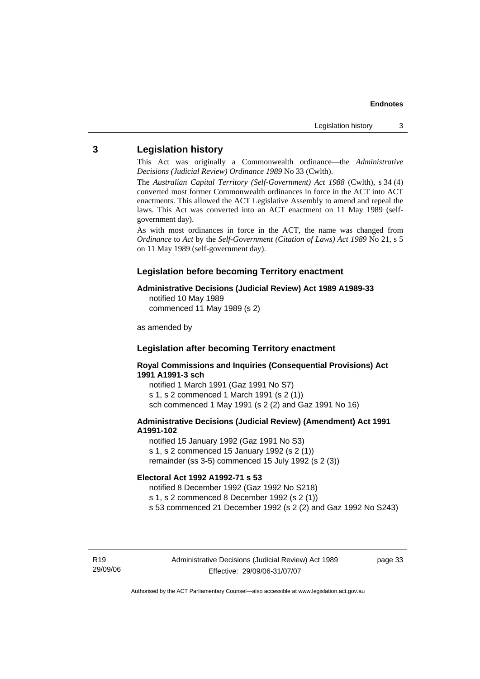## **3 Legislation history**

This Act was originally a Commonwealth ordinance—the *Administrative Decisions (Judicial Review) Ordinance 1989* No 33 (Cwlth).

The *Australian Capital Territory (Self-Government) Act 1988* (Cwlth), s 34 (4) converted most former Commonwealth ordinances in force in the ACT into ACT enactments. This allowed the ACT Legislative Assembly to amend and repeal the laws. This Act was converted into an ACT enactment on 11 May 1989 (selfgovernment day).

As with most ordinances in force in the ACT, the name was changed from *Ordinance* to *Act* by the *Self-Government (Citation of Laws) Act 1989* No 21, s 5 on 11 May 1989 (self-government day).

## **Legislation before becoming Territory enactment**

### **Administrative Decisions (Judicial Review) Act 1989 A1989-33**

notified 10 May 1989 commenced 11 May 1989 (s 2)

as amended by

## **Legislation after becoming Territory enactment**

**Royal Commissions and Inquiries (Consequential Provisions) Act 1991 A1991-3 sch** 

notified 1 March 1991 (Gaz 1991 No S7) s 1, s 2 commenced 1 March 1991 (s 2 (1)) sch commenced 1 May 1991 (s 2 (2) and Gaz 1991 No 16)

#### **Administrative Decisions (Judicial Review) (Amendment) Act 1991 A1991-102**

notified 15 January 1992 (Gaz 1991 No S3) s 1, s 2 commenced 15 January 1992 (s 2 (1)) remainder (ss 3-5) commenced 15 July 1992 (s 2 (3))

#### **Electoral Act 1992 A1992-71 s 53**

notified 8 December 1992 (Gaz 1992 No S218)

s 1, s 2 commenced 8 December 1992 (s 2 (1))

s 53 commenced 21 December 1992 (s 2 (2) and Gaz 1992 No S243)

R19 29/09/06 page 33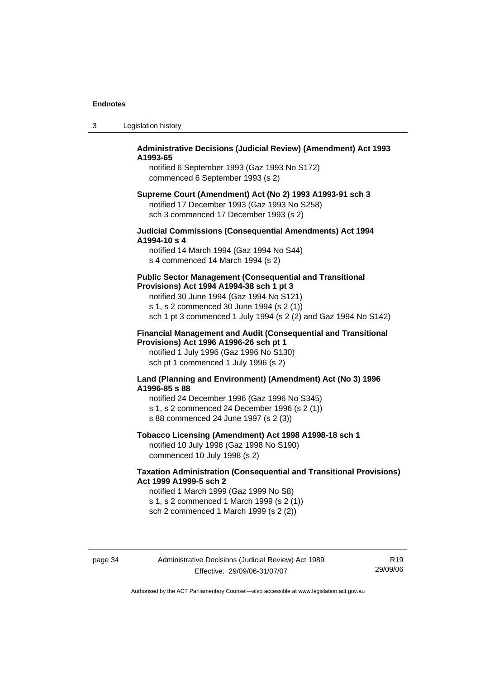| Legislation history | -3 |  |  |
|---------------------|----|--|--|
|---------------------|----|--|--|

### **Administrative Decisions (Judicial Review) (Amendment) Act 1993 A1993-65**

notified 6 September 1993 (Gaz 1993 No S172) commenced 6 September 1993 (s 2)

#### **Supreme Court (Amendment) Act (No 2) 1993 A1993-91 sch 3**  notified 17 December 1993 (Gaz 1993 No S258) sch 3 commenced 17 December 1993 (s 2)

### **Judicial Commissions (Consequential Amendments) Act 1994 A1994-10 s 4**

notified 14 March 1994 (Gaz 1994 No S44) s 4 commenced 14 March 1994 (s 2)

#### **Public Sector Management (Consequential and Transitional Provisions) Act 1994 A1994-38 sch 1 pt 3**

notified 30 June 1994 (Gaz 1994 No S121) s 1, s 2 commenced 30 June 1994 (s 2 (1)) sch 1 pt 3 commenced 1 July 1994 (s 2 (2) and Gaz 1994 No S142)

#### **Financial Management and Audit (Consequential and Transitional Provisions) Act 1996 A1996-26 sch pt 1**

notified 1 July 1996 (Gaz 1996 No S130) sch pt 1 commenced 1 July 1996 (s 2)

#### **Land (Planning and Environment) (Amendment) Act (No 3) 1996 A1996-85 s 88**

notified 24 December 1996 (Gaz 1996 No S345) s 1, s 2 commenced 24 December 1996 (s 2 (1)) s 88 commenced 24 June 1997 (s 2 (3))

## **Tobacco Licensing (Amendment) Act 1998 A1998-18 sch 1**

notified 10 July 1998 (Gaz 1998 No S190) commenced 10 July 1998 (s 2)

## **Taxation Administration (Consequential and Transitional Provisions) Act 1999 A1999-5 sch 2**

notified 1 March 1999 (Gaz 1999 No S8) s 1, s 2 commenced 1 March 1999 (s 2 (1)) sch 2 commenced 1 March 1999 (s 2 (2))

page 34 Administrative Decisions (Judicial Review) Act 1989 Effective: 29/09/06-31/07/07

R19 29/09/06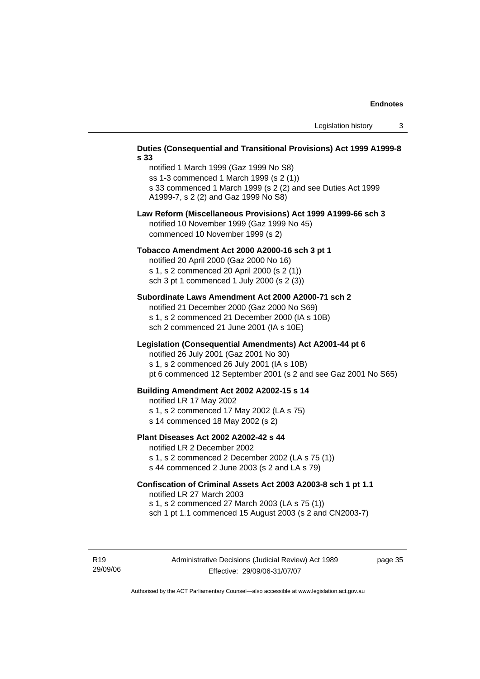#### **Duties (Consequential and Transitional Provisions) Act 1999 A1999-8 s 33**

notified 1 March 1999 (Gaz 1999 No S8) ss 1-3 commenced 1 March 1999 (s 2 (1)) s 33 commenced 1 March 1999 (s 2 (2) and see Duties Act 1999 A1999-7, s 2 (2) and Gaz 1999 No S8)

#### **Law Reform (Miscellaneous Provisions) Act 1999 A1999-66 sch 3**  notified 10 November 1999 (Gaz 1999 No 45) commenced 10 November 1999 (s 2)

#### **Tobacco Amendment Act 2000 A2000-16 sch 3 pt 1**

notified 20 April 2000 (Gaz 2000 No 16) s 1, s 2 commenced 20 April 2000 (s 2 (1)) sch 3 pt 1 commenced 1 July 2000 (s 2 (3))

#### **Subordinate Laws Amendment Act 2000 A2000-71 sch 2**

notified 21 December 2000 (Gaz 2000 No S69) s 1, s 2 commenced 21 December 2000 (IA s 10B) sch 2 commenced 21 June 2001 (IA s 10E)

#### **Legislation (Consequential Amendments) Act A2001-44 pt 6**

notified 26 July 2001 (Gaz 2001 No 30)

s 1, s 2 commenced 26 July 2001 (IA s 10B)

pt 6 commenced 12 September 2001 (s 2 and see Gaz 2001 No S65)

#### **Building Amendment Act 2002 A2002-15 s 14**

notified LR 17 May 2002

- s 1, s 2 commenced 17 May 2002 (LA s 75)
- s 14 commenced 18 May 2002 (s 2)

#### **Plant Diseases Act 2002 A2002-42 s 44**

notified LR 2 December 2002

s 1, s 2 commenced 2 December 2002 (LA s 75 (1)) s 44 commenced 2 June 2003 (s 2 and LA s 79)

## **Confiscation of Criminal Assets Act 2003 A2003-8 sch 1 pt 1.1**  notified LR 27 March 2003 s 1, s 2 commenced 27 March 2003 (LA s 75 (1))

sch 1 pt 1.1 commenced 15 August 2003 (s 2 and CN2003-7)

R19 29/09/06 page 35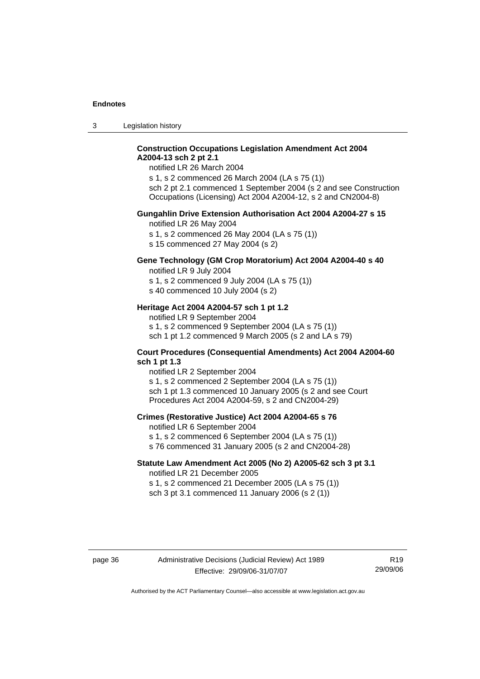3 Legislation history

## **Construction Occupations Legislation Amendment Act 2004 A2004-13 sch 2 pt 2.1**

notified LR 26 March 2004

s 1, s 2 commenced 26 March 2004 (LA s 75 (1)) sch 2 pt 2.1 commenced 1 September 2004 (s 2 and see Construction Occupations (Licensing) Act 2004 A2004-12, s 2 and CN2004-8)

#### **Gungahlin Drive Extension Authorisation Act 2004 A2004-27 s 15**

notified LR 26 May 2004

s 1, s 2 commenced 26 May 2004 (LA s 75 (1))

s 15 commenced 27 May 2004 (s 2)

## **Gene Technology (GM Crop Moratorium) Act 2004 A2004-40 s 40**

notified LR 9 July 2004

s 1, s 2 commenced 9 July 2004 (LA s 75 (1)) s 40 commenced 10 July 2004 (s 2)

### **Heritage Act 2004 A2004-57 sch 1 pt 1.2**

notified LR 9 September 2004 s 1, s 2 commenced 9 September 2004 (LA s 75 (1)) sch 1 pt 1.2 commenced 9 March 2005 (s 2 and LA s 79)

#### **Court Procedures (Consequential Amendments) Act 2004 A2004-60 sch 1 pt 1.3**

notified LR 2 September 2004 s 1, s 2 commenced 2 September 2004 (LA s 75 (1)) sch 1 pt 1.3 commenced 10 January 2005 (s 2 and see Court Procedures Act 2004 A2004-59, s 2 and CN2004-29)

#### **Crimes (Restorative Justice) Act 2004 A2004-65 s 76**

notified LR 6 September 2004

- s 1, s 2 commenced 6 September 2004 (LA s 75 (1))
- s 76 commenced 31 January 2005 (s 2 and CN2004-28)

## **Statute Law Amendment Act 2005 (No 2) A2005-62 sch 3 pt 3.1**

notified LR 21 December 2005 s 1, s 2 commenced 21 December 2005 (LA s 75 (1)) sch 3 pt 3.1 commenced 11 January 2006 (s 2 (1))

R19 29/09/06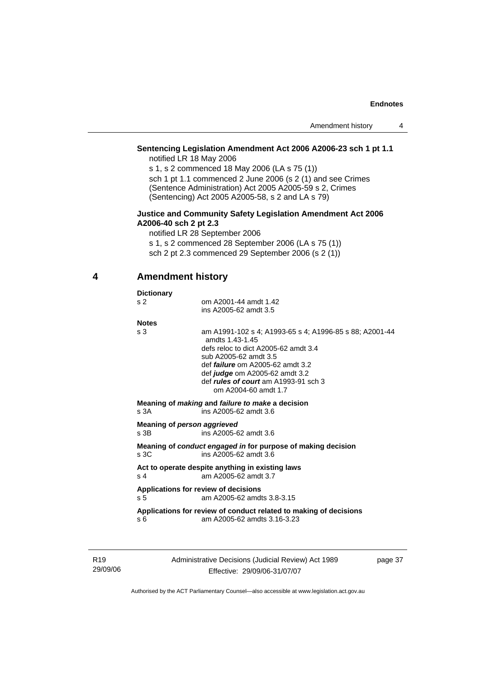## **Sentencing Legislation Amendment Act 2006 A2006-23 sch 1 pt 1.1**

notified LR 18 May 2006

s 1, s 2 commenced 18 May 2006 (LA s 75 (1)) sch 1 pt 1.1 commenced 2 June 2006 (s 2 (1) and see Crimes (Sentence Administration) Act 2005 A2005-59 s 2, Crimes (Sentencing) Act 2005 A2005-58, s 2 and LA s 79)

#### **Justice and Community Safety Legislation Amendment Act 2006 A2006-40 sch 2 pt 2.3**

notified LR 28 September 2006 s 1, s 2 commenced 28 September 2006 (LA s 75 (1)) sch 2 pt 2.3 commenced 29 September 2006 (s 2 (1))

## **4 Amendment history**

| <b>Dictionary</b> |                                                                                                                                                                                                                                                                                                        |
|-------------------|--------------------------------------------------------------------------------------------------------------------------------------------------------------------------------------------------------------------------------------------------------------------------------------------------------|
| s <sub>2</sub>    | om A2001-44 amdt 1.42<br>ins A2005-62 amdt 3.5                                                                                                                                                                                                                                                         |
| <b>Notes</b>      |                                                                                                                                                                                                                                                                                                        |
| s 3               | am A1991-102 s 4: A1993-65 s 4: A1996-85 s 88: A2001-44<br>amdts 1 43-1 45<br>defs reloc to dict A2005-62 amdt 3.4<br>sub A2005-62 amdt 3.5<br>def <i>failure</i> om A2005-62 amdt 3.2<br>def <i>judge</i> om A2005-62 amdt 3.2<br>def <i>rules of court</i> am A1993-91 sch 3<br>om A2004-60 amdt 1.7 |
| s.3A              | Meaning of <i>making</i> and <i>failure to make</i> a decision<br>ins A2005-62 amdt 3.6                                                                                                                                                                                                                |
| $s$ 3B            | Meaning of person aggrieved<br>ins A2005-62 amdt 3.6                                                                                                                                                                                                                                                   |
| s3C               | Meaning of <i>conduct engaged in</i> for purpose of making decision<br>ins A2005-62 amdt 3.6                                                                                                                                                                                                           |
| s 4               | Act to operate despite anything in existing laws<br>am A2005-62 amdt 3.7                                                                                                                                                                                                                               |
| s <sub>5</sub>    | Applications for review of decisions<br>am A2005-62 amdts 3.8-3.15                                                                                                                                                                                                                                     |
|                   | Applications for review of conduct related to making of decisions                                                                                                                                                                                                                                      |

R19 29/09/06 Administrative Decisions (Judicial Review) Act 1989 Effective: 29/09/06-31/07/07

page 37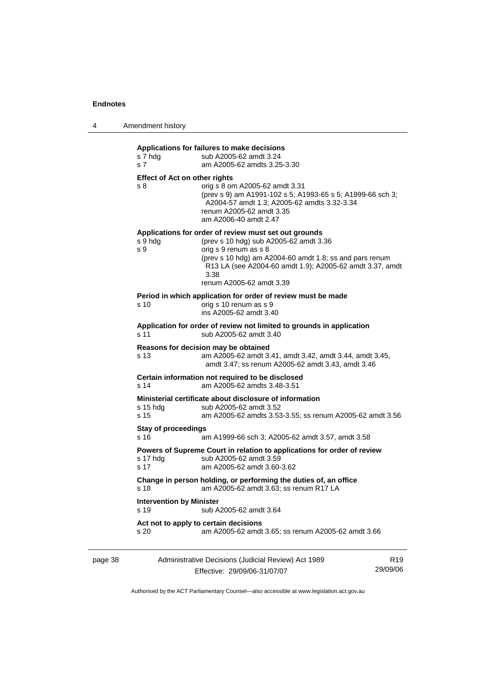4 Amendment history

| s 7 hdg<br>s <sub>7</sub>                   | sub A2005-62 amdt 3.24<br>am A2005-62 amdts 3.25-3.30                                                                                                                                                                                                                               |
|---------------------------------------------|-------------------------------------------------------------------------------------------------------------------------------------------------------------------------------------------------------------------------------------------------------------------------------------|
| <b>Effect of Act on other rights</b><br>s 8 | orig s 8 om A2005-62 amdt 3.31<br>(prev s 9) am A1991-102 s 5; A1993-65 s 5; A1999-66 sch 3;<br>A2004-57 amdt 1.3; A2005-62 amdts 3.32-3.34<br>renum A2005-62 amdt 3.35<br>am A2006-40 amdt 2.47                                                                                    |
| s 9 hdg<br>s 9                              | Applications for order of review must set out grounds<br>(prev s 10 hdg) sub A2005-62 amdt 3.36<br>orig s 9 renum as s 8<br>(prev s 10 hdg) am A2004-60 amdt 1.8; ss and pars renum<br>R13 LA (see A2004-60 amdt 1.9); A2005-62 amdt 3.37, amdt<br>3.38<br>renum A2005-62 amdt 3.39 |
| s 10                                        | Period in which application for order of review must be made<br>orig s 10 renum as s 9<br>ins A2005-62 amdt 3.40                                                                                                                                                                    |
| s 11                                        | Application for order of review not limited to grounds in application<br>sub A2005-62 amdt 3.40                                                                                                                                                                                     |
| s 13                                        | Reasons for decision may be obtained<br>am A2005-62 amdt 3.41, amdt 3.42, amdt 3.44, amdt 3.45,<br>amdt 3.47; ss renum A2005-62 amdt 3.43, amdt 3.46                                                                                                                                |
| s 14                                        | Certain information not required to be disclosed<br>am A2005-62 amdts 3.48-3.51                                                                                                                                                                                                     |
| s 15 hdg<br>s 15                            | Ministerial certificate about disclosure of information<br>sub A2005-62 amdt 3.52<br>am A2005-62 amdts 3.53-3.55; ss renum A2005-62 amdt 3.56                                                                                                                                       |
| <b>Stay of proceedings</b><br>s 16          | am A1999-66 sch 3; A2005-62 amdt 3.57, amdt 3.58                                                                                                                                                                                                                                    |
| s 17 hdg<br>s <sub>17</sub>                 | Powers of Supreme Court in relation to applications for order of review<br>sub A2005-62 amdt 3.59<br>am A2005-62 amdt 3.60-3.62                                                                                                                                                     |
| s 18                                        | Change in person holding, or performing the duties of, an office<br>am A2005-62 amdt 3.63: ss renum R17 LA                                                                                                                                                                          |
| <b>Intervention by Minister</b><br>s 19     | sub A2005-62 amdt 3.64                                                                                                                                                                                                                                                              |
|                                             | Act not to apply to certain decisions                                                                                                                                                                                                                                               |

<u> 1980 - Johann Barbara, martxa amerikan personal (h. 1980).</u>

| page 38 | Administrative Decisions (Judicial Review) Act 1989 | R19      |
|---------|-----------------------------------------------------|----------|
|         | Effective: 29/09/06-31/07/07                        | 29/09/06 |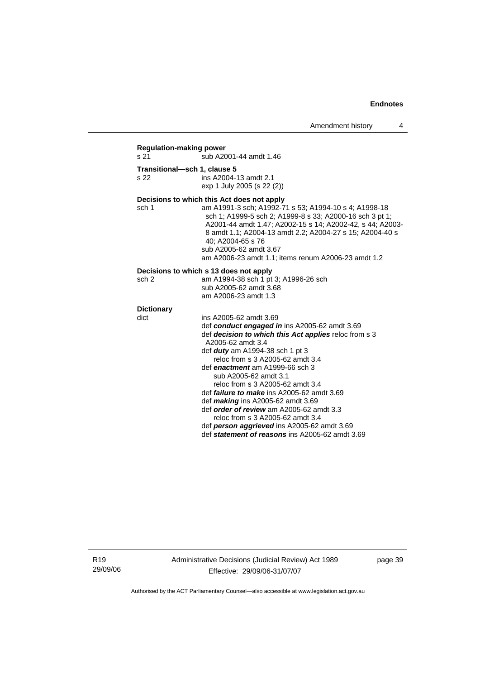## **Regulation-making power**

sub A2001-44 amdt 1.46

**Transitional—sch 1, clause 5**  ins A2004-13 amdt 2.1 exp 1 July 2005 (s 22 (2))

### **Decisions to which this Act does not apply**

sch 1 am A1991-3 sch; A1992-71 s 53; A1994-10 s 4; A1998-18 sch 1; A1999-5 sch 2; A1999-8 s 33; A2000-16 sch 3 pt 1; A2001-44 amdt 1.47; A2002-15 s 14; A2002-42, s 44; A2003- 8 amdt 1.1; A2004-13 amdt 2.2; A2004-27 s 15; A2004-40 s 40; A2004-65 s 76 sub A2005-62 amdt 3.67 am A2006-23 amdt 1.1; items renum A2006-23 amdt 1.2

#### **Decisions to which s 13 does not apply**

| sch 2 | am A1994-38 sch 1 pt 3; A1996-26 sch |
|-------|--------------------------------------|
|       | sub A2005-62 amdt 3.68               |
|       | am A2006-23 amdt 1.3                 |

## **Dictionary**

| dict | ins A2005-62 amdt 3.69                                |
|------|-------------------------------------------------------|
|      | def conduct engaged in ins A2005-62 amdt 3.69         |
|      | def decision to which this Act applies reloc from s 3 |
|      | A2005-62 amdt 3.4                                     |
|      | def <b>duty</b> am A1994-38 sch 1 pt 3                |
|      | reloc from s 3 A2005-62 amdt 3.4                      |
|      | def enactment am A1999-66 sch 3                       |
|      | sub A2005-62 amdt 3.1                                 |
|      | reloc from s 3 A2005-62 amdt 3.4                      |
|      | def <i>failure to make</i> ins $A2005-62$ amdt $3.69$ |
|      | def <i>making</i> ins $A2005-62$ amdt $3.69$          |
|      | def order of review am A2005-62 amdt 3.3              |
|      | reloc from s 3 A2005-62 amdt 3.4                      |
|      | def person aggrieved ins A2005-62 amdt 3.69           |
|      | def statement of reasons ins A2005-62 amdt 3.69       |

R19 29/09/06 Administrative Decisions (Judicial Review) Act 1989 Effective: 29/09/06-31/07/07

page 39